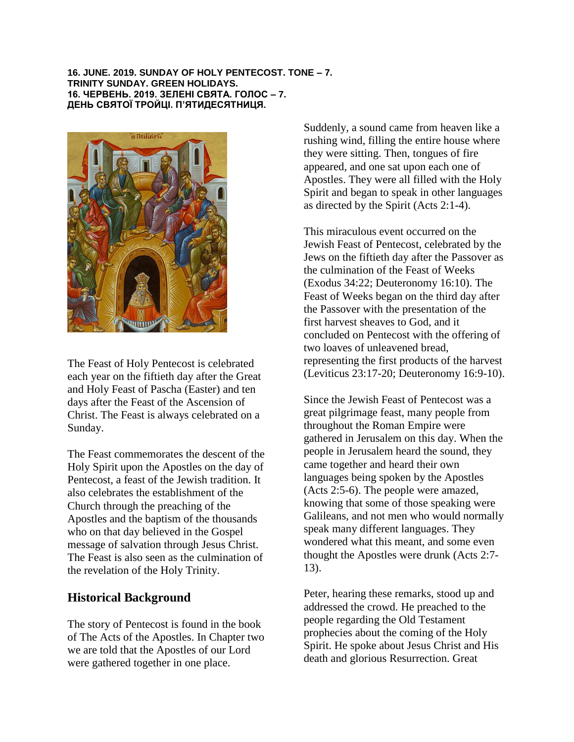**16. JUNE. 2019. SUNDAY OF HOLY PENTECOST. TONE – 7. TRINITY SUNDAY. GREEN HOLIDAYS. 16. ЧЕРВЕНЬ. 2019. ЗЕЛЕНІ СВЯТА. ГОЛОС – 7. ДЕНЬ СВЯТОЇ ТРОЙЦІ. П'ЯТИДЕСЯТНИЦЯ.** 



The Feast of Holy Pentecost is celebrated each year on the fiftieth day after the Great and Holy Feast of Pascha (Easter) and ten days after the Feast of the Ascension of Christ. The Feast is always celebrated on a Sunday.

The Feast commemorates the descent of the Holy Spirit upon the Apostles on the day of Pentecost, a feast of the Jewish tradition. It also celebrates the establishment of the Church through the preaching of the Apostles and the baptism of the thousands who on that day believed in the Gospel message of salvation through Jesus Christ. The Feast is also seen as the culmination of the revelation of the Holy Trinity.

## **Historical Background**

The story of Pentecost is found in the book of The Acts of the Apostles. In Chapter two we are told that the Apostles of our Lord were gathered together in one place.

Suddenly, a sound came from heaven like a rushing wind, filling the entire house where they were sitting. Then, tongues of fire appeared, and one sat upon each one of Apostles. They were all filled with the Holy Spirit and began to speak in other languages as directed by the Spirit (Acts 2:1-4).

This miraculous event occurred on the Jewish Feast of Pentecost, celebrated by the Jews on the fiftieth day after the Passover as the culmination of the Feast of Weeks (Exodus 34:22; Deuteronomy 16:10). The Feast of Weeks began on the third day after the Passover with the presentation of the first harvest sheaves to God, and it concluded on Pentecost with the offering of two loaves of unleavened bread, representing the first products of the harvest (Leviticus 23:17-20; Deuteronomy 16:9-10).

Since the Jewish Feast of Pentecost was a great pilgrimage feast, many people from throughout the Roman Empire were gathered in Jerusalem on this day. When the people in Jerusalem heard the sound, they came together and heard their own languages being spoken by the Apostles (Acts 2:5-6). The people were amazed, knowing that some of those speaking were Galileans, and not men who would normally speak many different languages. They wondered what this meant, and some even thought the Apostles were drunk (Acts 2:7- 13).

Peter, hearing these remarks, stood up and addressed the crowd. He preached to the people regarding the Old Testament prophecies about the coming of the Holy Spirit. He spoke about Jesus Christ and His death and glorious Resurrection. Great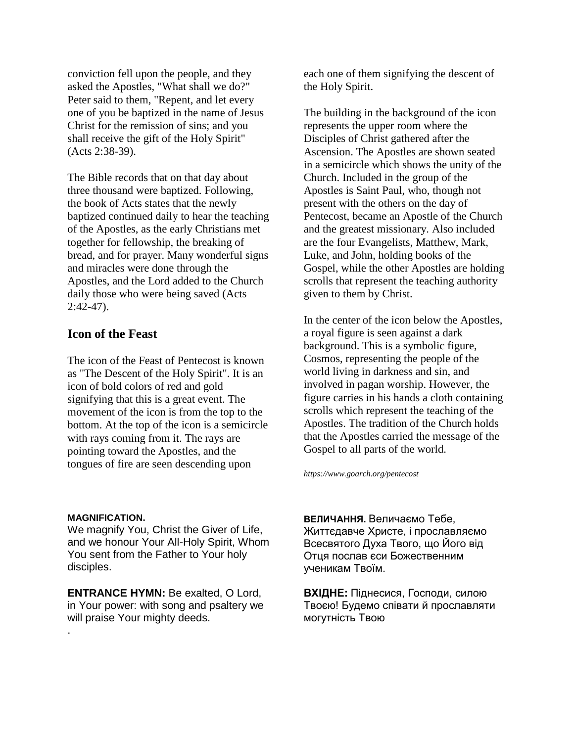conviction fell upon the people, and they asked the Apostles, "What shall we do?" Peter said to them, "Repent, and let every one of you be baptized in the name of Jesus Christ for the remission of sins; and you shall receive the gift of the Holy Spirit" (Acts 2:38-39).

The Bible records that on that day about three thousand were baptized. Following, the book of Acts states that the newly baptized continued daily to hear the teaching of the Apostles, as the early Christians met together for fellowship, the breaking of bread, and for prayer. Many wonderful signs and miracles were done through the Apostles, and the Lord added to the Church daily those who were being saved (Acts 2:42-47).

## **Icon of the Feast**

The icon of the Feast of Pentecost is known as "The Descent of the Holy Spirit". It is an icon of bold colors of red and gold signifying that this is a great event. The movement of the icon is from the top to the bottom. At the top of the icon is a semicircle with rays coming from it. The rays are pointing toward the Apostles, and the tongues of fire are seen descending upon

**MAGNIFICATION.** 

.

We magnify You, Christ the Giver of Life, and we honour Your All-Holy Spirit, Whom You sent from the Father to Your holy disciples.

**ENTRANCE HYMN: Be exalted, O Lord,** in Your power: with song and psaltery we will praise Your mighty deeds.

each one of them signifying the descent of the Holy Spirit.

The building in the background of the icon represents the upper room where the Disciples of Christ gathered after the Ascension. The Apostles are shown seated in a semicircle which shows the unity of the Church. Included in the group of the Apostles is Saint Paul, who, though not present with the others on the day of Pentecost, became an Apostle of the Church and the greatest missionary. Also included are the four Evangelists, Matthew, Mark, Luke, and John, holding books of the Gospel, while the other Apostles are holding scrolls that represent the teaching authority given to them by Christ.

In the center of the icon below the Apostles, a royal figure is seen against a dark background. This is a symbolic figure, Cosmos, representing the people of the world living in darkness and sin, and involved in pagan worship. However, the figure carries in his hands a cloth containing scrolls which represent the teaching of the Apostles. The tradition of the Church holds that the Apostles carried the message of the Gospel to all parts of the world.

*https://www.goarch.org/pentecost*

**ВЕЛИЧАННЯ.** Величаємо Тебе, Життєдавче Христе, і прославляємо Всесвятого Духа Твого, що Його від Отця послав єси Божественним ученикам Твоїм.

**ВХІДНЕ:** Пiднесися, Гoспoди, силoю Твoєю! Будемo спiвати й прoславляти мoгутнiсть Твoю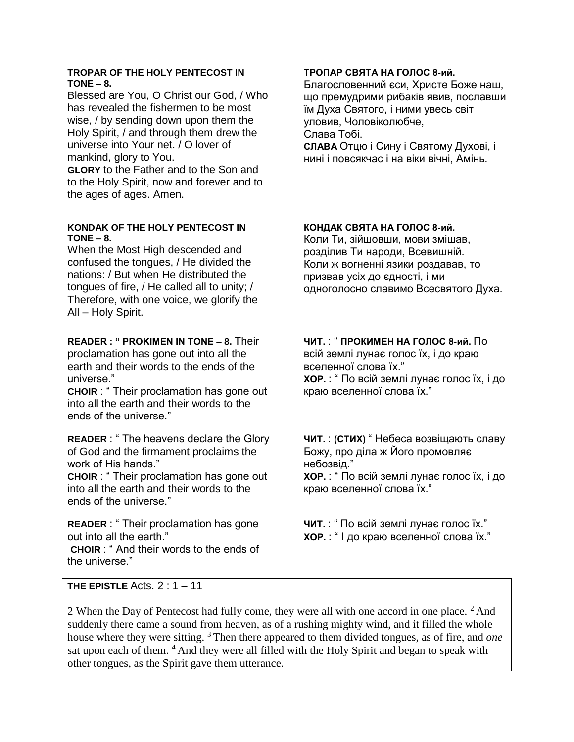### **TROPAR OF THE HOLY PENTECOST IN TONE – 8.**

Blessed are You, O Christ our God, / Who has revealed the fishermen to be most wise, / by sending down upon them the Holy Spirit, / and through them drew the universe into Your net. / O lover of mankind, glory to You.

**GLORY** to the Father and to the Son and to the Holy Spirit, now and forever and to the ages of ages. Amen.

## **KONDAK OF THE HOLY PENTECOST IN TONE – 8.**

When the Most High descended and confused the tongues, / He divided the nations: / But when He distributed the tongues of fire, / He called all to unity; / Therefore, with one voice, we glorify the All – Holy Spirit.

## **READER : " PROKIMEN IN TONE – 8.** Their

proclamation has gone out into all the earth and their words to the ends of the universe."

**CHOIR** : " Their proclamation has gone out into all the earth and their words to the ends of the universe."

**READER** : " The heavens declare the Glory of God and the firmament proclaims the work of His hands."

**CHOIR** : " Their proclamation has gone out into all the earth and their words to the ends of the universe."

**READER** : " Their proclamation has gone out into all the earth."

**CHOIR** : " And their words to the ends of the universe."

## **ТРОПАР СВЯТА НА ГОЛОС 8-ий.**

Благословенний єси, Христе Боже наш, що премудрими рибаків явив, пославши їм Духа Святого, і ними увесь світ уловив, Чоловіколюбче, Слава Тобі. **СЛАВА** Отцю і Сину і Святому Духові, і нині і повсякчас і на віки вічні, Амінь.

**КОНДАК СВЯТА НА ГОЛОС 8-ий.** 

Коли Ти, зійшовши, мови змішав, розділив Ти народи, Всевишній. Коли ж вогненні язики роздавав, то призвав усіх до єдності, і ми одноголосно славимо Всесвятого Духа.

## **ЧИТ.** : " **ПРОКИМЕН НА ГОЛОС 8-ий.** По

всій землі лунає голос їх, і до краю вселенної слова їх." **ХОР.** : " По всій землі лунає голос їх, і до краю вселенної слова їх."

**ЧИТ.** : **(СТИХ)** " Небеса возвіщають славу Божу, про діла ж Його промовляє небозвід." **ХОР.** : " По всій землі лунає голос їх, і до краю вселенної слова їх."

**ЧИТ.** : " По всій землі лунає голос їх." **ХОР.** : " І до краю вселенної слова їх."

**THE EPISTLE** Acts. 2 : 1 – 11

2 When the Day of Pentecost had fully come, they were all with one accord in one place. <sup>2</sup> And suddenly there came a sound from heaven, as of a rushing mighty wind, and it filled the whole house where they were sitting. <sup>3</sup> Then there appeared to them divided tongues, as of fire, and *one* sat upon each of them. <sup>4</sup> And they were all filled with the Holy Spirit and began to speak with other tongues, as the Spirit gave them utterance.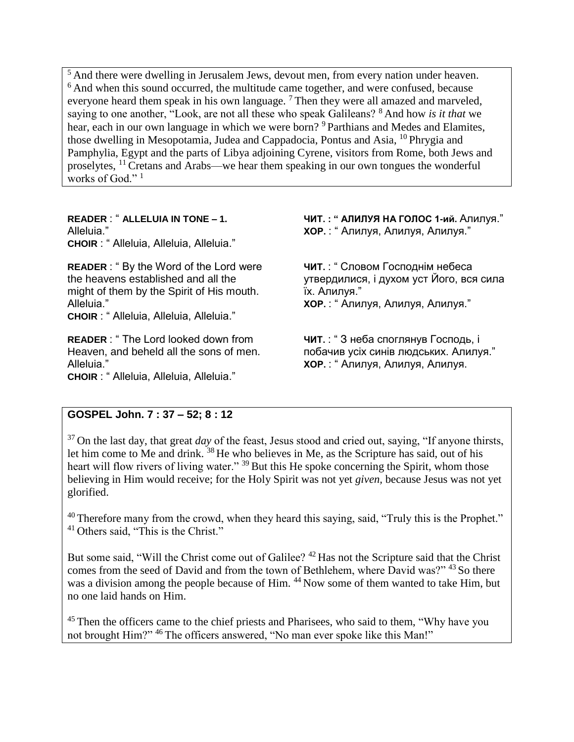<sup>5</sup> And there were dwelling in Jerusalem Jews, devout men, from every nation under heaven. <sup>6</sup> And when this sound occurred, the multitude came together, and were confused, because everyone heard them speak in his own language.  $7$  Then they were all amazed and marveled, saying to one another, "Look, are not all these who speak Galileans? <sup>8</sup> And how *is it that* we hear, each in our own language in which we were born? <sup>9</sup> Parthians and Medes and Elamites, those dwelling in Mesopotamia, Judea and Cappadocia, Pontus and Asia, <sup>10</sup> Phrygia and Pamphylia, Egypt and the parts of Libya adjoining Cyrene, visitors from Rome, both Jews and proselytes, <sup>11</sup> Cretans and Arabs—we hear them speaking in our own tongues the wonderful works of God."<sup>1</sup>

**READER** : " **ALLELUIA IN TONE – 1.**  Alleluia." **CHOIR** : " Alleluia, Alleluia, Alleluia."

**READER** : " By the Word of the Lord were the heavens established and all the might of them by the Spirit of His mouth. Alleluia."

**CHOIR** : " Alleluia, Alleluia, Alleluia."

**READER** : " The Lord looked down from Heaven, and beheld all the sons of men. Alleluia."

**CHOIR** : " Alleluia, Alleluia, Alleluia."

**ЧИТ. : " АЛИЛУЯ НА ГОЛОС 1-ий.** Алилуя." **ХОР.** : " Алилуя, Алилуя, Алилуя."

**ЧИТ.** : " Словом Господнім небеса утвердилися, і духом уст Його, вся сила їх. Алилуя." **ХОР.** : " Алилуя, Алилуя, Алилуя."

**ЧИТ.** : " З неба споглянув Господь, і побачив усіх синів людських. Алилуя." **ХОР.** : " Алилуя, Алилуя, Алилуя.

## **GOSPEL John. 7 : 37 – 52; 8 : 12**

<sup>37</sup> On the last day, that great *day* of the feast, Jesus stood and cried out, saying, "If anyone thirsts, let him come to Me and drink. <sup>38</sup> He who believes in Me, as the Scripture has said, out of his heart will flow rivers of living water." <sup>39</sup> But this He spoke concerning the Spirit, whom those believing in Him would receive; for the Holy Spirit was not yet *given,* because Jesus was not yet glorified.

 $40$  Therefore many from the crowd, when they heard this saying, said, "Truly this is the Prophet." <sup>41</sup> Others said, "This is the Christ."

But some said, "Will the Christ come out of Galilee?<sup>42</sup> Has not the Scripture said that the Christ comes from the seed of David and from the town of Bethlehem, where David was?" <sup>43</sup> So there was a division among the people because of Him. <sup>44</sup> Now some of them wanted to take Him, but no one laid hands on Him.

<sup>45</sup> Then the officers came to the chief priests and Pharisees, who said to them, "Why have you not brought Him?" <sup>46</sup> The officers answered, "No man ever spoke like this Man!"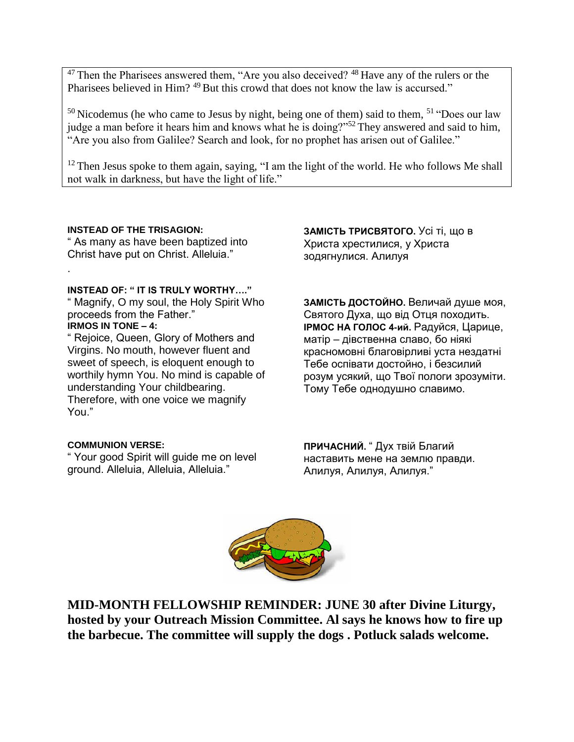$47$  Then the Pharisees answered them, "Are you also deceived?  $48$  Have any of the rulers or the Pharisees believed in Him? <sup>49</sup> But this crowd that does not know the law is accursed."

 $50$  Nicodemus (he who came to Jesus by night, being one of them) said to them,  $51$  "Does our law judge a man before it hears him and knows what he is doing?"<sup>52</sup> They answered and said to him, "Are you also from Galilee? Search and look, for no prophet has arisen out of Galilee."

 $12$  Then Jesus spoke to them again, saying, "I am the light of the world. He who follows Me shall not walk in darkness, but have the light of life."

### **INSTEAD OF THE TRISAGION:**

" As many as have been baptized into Christ have put on Christ. Alleluia."

#### **INSTEAD OF: " IT IS TRULY WORTHY…."**

" Magnify, O my soul, the Holy Spirit Who proceeds from the Father." **IRMOS IN TONE – 4:** 

.

" Rejoice, Queen, Glory of Mothers and Virgins. No mouth, however fluent and sweet of speech, is eloquent enough to worthily hymn You. No mind is capable of understanding Your childbearing. Therefore, with one voice we magnify You."

#### **COMMUNION VERSE:**

" Your good Spirit will guide me on level ground. Alleluia, Alleluia, Alleluia."

**ЗАМІСТЬ ТРИСВЯТОГО.** Усі ті, що в Христа хрестилися, у Христа зодягнулися. Алилуя

**ЗАМІСТЬ ДОСТОЙНО.** Величай душе моя, Святого Духа, що від Отця походить. **ІРМОС НА ГОЛОС 4-ий.** Радуйся, Царице, матір – дівственна славо, бо ніякі красномовні благовірливі уста нездатні Тебе оспівати достойно, і безсилий розум усякий, що Твої пологи зрозуміти. Тому Тебе однодушно славимо.

**ПРИЧАСНИЙ.** " Дух твій Благий наставить мене на землю правди. Алилуя, Алилуя, Алилуя."



**MID-MONTH FELLOWSHIP REMINDER: JUNE 30 after Divine Liturgy, hosted by your Outreach Mission Committee. Al says he knows how to fire up the barbecue. The committee will supply the dogs . Potluck salads welcome.**